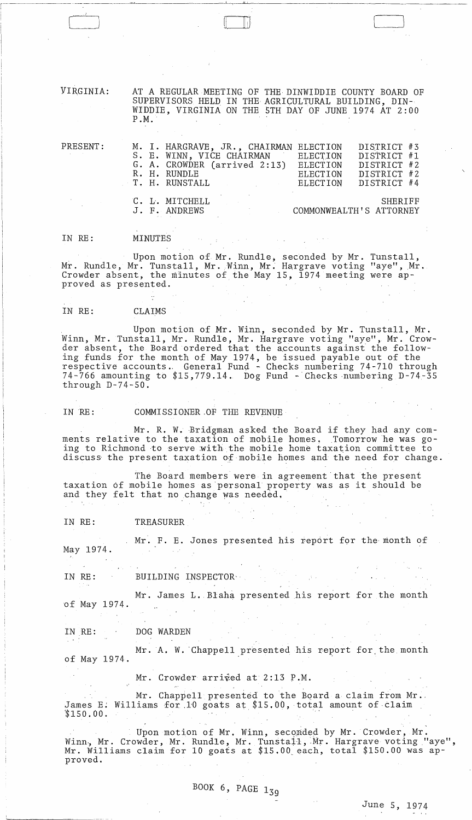VIRGINIA: AT A REGULAR MEETING OF THE DINWIDDIE COUNTY BOARD OF SUPERVISORS HELD IN THE AGRICULTURAL BUILDING, DIN-WIDDIE, VIRGINIA ON THE 5TH DAY OF JUNE 1974 AT 2:00 P.M.

----,---,--"-~~----------'\_\_c\_---"'-~--------~~-----~---~--

| PRESENT: | M. I. HARGRAVE, JR., CHAIRMAN ELECTION<br>S. E. WINN, VICE CHAIRMAN<br>G. A. CROWDER (arrived 2:13)<br>R. H. RUNDLE |                                                                                                                                                                                                                                                                                                                                                                                                                  | ELECTION<br>ELECTION<br><b>ELECTION</b> | DISTRICT #3<br>DISTRICT #1<br>DISTRICT #2<br>DISTRICT #2 |  |
|----------|---------------------------------------------------------------------------------------------------------------------|------------------------------------------------------------------------------------------------------------------------------------------------------------------------------------------------------------------------------------------------------------------------------------------------------------------------------------------------------------------------------------------------------------------|-----------------------------------------|----------------------------------------------------------|--|
|          | T. H. RUNSTALL                                                                                                      | $\label{eq:2.1} \frac{1}{2} \int_{\mathbb{R}^3} \frac{1}{\sqrt{2}} \, \frac{1}{\sqrt{2}} \, \frac{1}{\sqrt{2}} \, \frac{1}{\sqrt{2}} \, \frac{1}{\sqrt{2}} \, \frac{1}{\sqrt{2}} \, \frac{1}{\sqrt{2}} \, \frac{1}{\sqrt{2}} \, \frac{1}{\sqrt{2}} \, \frac{1}{\sqrt{2}} \, \frac{1}{\sqrt{2}} \, \frac{1}{\sqrt{2}} \, \frac{1}{\sqrt{2}} \, \frac{1}{\sqrt{2}} \, \frac{1}{\sqrt{2}} \, \frac{1}{\sqrt{2}} \,$ | ELECTION                                | DISTRICT #4                                              |  |
|          | C. L. MITCHELL<br>J. F. ANDREWS                                                                                     |                                                                                                                                                                                                                                                                                                                                                                                                                  |                                         | SHERIFF<br>COMMONWEALTH'S ATTORNEY                       |  |

IN RE: MINUTES

, Upon motion of Mr. Rundle, seconded by Mr. Tunstall, Mr. Rundle, Mr. Tunstall, Mr. Winn, Mr. Hargrave voting "aye", Mr. Crowder absent, the minutes of the May 15, 1974 meeting were approved as presented.

## IN RE: CLAIMS

Upon motion of Mr. Winn, seconded by Mr. Tunstall, Mr. Winn, Mr. Tunstall, Mr. Rundle, Mr. Hargrave voting "aye", Mr. Crowder absent, the Board ordered that the accounts against the following funds for the month of May 1974, be issued payable out of the respective accounts. General Fund - Checks numbering 74-710 through 74-766 amounting to  $$15,779.14$ . Dog Fund - Checks numbering D-74-35 through D-74-50.

IN RE: COMMISSIONER OF THE REVENUE

Mr. R. W. Bridgman asked the Board if they had any comments relative to the taxation of mobile homes, Tomorrow he was going to Richmond to serve with the mobile home taxation committee to discuss the present taxation of mobile homes and the need for change.

The Board members were in agreement that the present taxation of mobile homes as personal property was as it should be and they felt that no change was needed.

IN RE: TREASURER

Mr. F. E. Jones presented his report for the month of May 1974.

IN RE: BUILDING INSPECTORY

Mr. James L. Blaha presented his report for the month of May 1974.

IN RE: DOG WARDEN

Mr. A. W. Chappell presented his report for the month of May 1974.

Mr. Crowder arrived at 2:13 P.M.

Mr. Chappell presented to the Board a claim from Mr.<br>James E: Williams for 10 goats at \$15.00, total amount of claim \$150.00.

Upon motion of Mr. Winn, seconded by Mr. Crowder, Mr. Winn., Mr. Crowder, Mr. Rundle, Mr. Tunstall, Mr. Hargrave voting "aye", Mr. Williams claim for 10 goats at \$15.00 each, total \$150.00 was approved.

,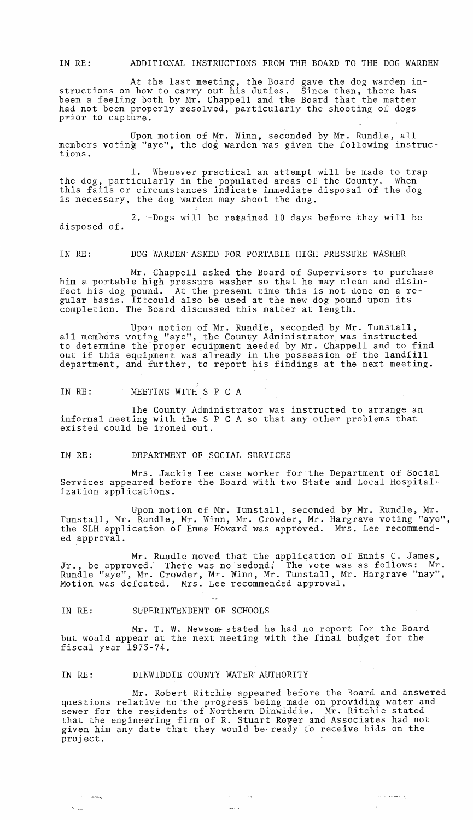IN RE: ADDITIONAL INSTRUCTIONS FROM THE BOARD TO THE DOG WARDEN

At the last meeting, the Board gave the dog warden instructions on how to carry out his duties. Since then, there has been a feeling both by Mr. Chappell and the Board that the matter had not been properly resolved, particularly the shooting of dogs prior to capture.

Upon motion of Mr. Winn, seconded by Mr. Rundle, all members voting "aye", the dog warden was given the following instructions.

1. Whenever practical an attempt will be made to trap the dog, particularly in the populated areas of the County. When this fails or circumstances indicate immediate disposal of the dog is necessary, the dog warden may shoot the dog.

2.  $-Dogs$  will be re $t$ ained 10 days before they will be disposed of.

#### IN RE: DOG WARDEN'ASKED FOR PORTABLE HIGH PRESSURE WASHER

Mr. Chappell asked the Board of Supervisors to purchase him a portable high pressure washer so that he may clean and disinfect his dog pound. At the present time this is not done on a regular basis. Ittcould also be used at the new dog pound upon its completion. The Board discussed this matter at length.

Upon motion of Mr. Rundle, seconded by Mr. Tunstall, all memhers voting "aye", the County Administrator was instructed to determine the'proper equipment needed by Mr. Chappell and to find out if this equipment was already in the possession of the landfill department, and further, to report his findings at the next meeting.

IN RE: MEETING WITH S P C A

The County Administrator was instructed to arrange an informal meeting with the S P C A so that any other problems that existed could be ironed out.

#### IN RE: DEPARTMENT OF SOCIAL SERVICES

Mrs. Jackie Lee case worker for the Department of Social Services appeared before the Board with two State and Local Hospitalization applications.

Upon motion of Mr. Tunstall, seconded by Mr. Rundle, Mr. Tunstall, Mr. Rundle, Mr. Winn, Mr. Crowder, Mr. Hargrave voting "aye", the SLH application of Emma Howard was approved. Mrs. Lee recommended approval.

Mr. Rundle moved that the application of Ennis C. James, Jr., be approved. There was no sedond. The vote was as follows: Mr. Rundle "aye", Mr. Crowder, Mr. Winn, Mr. Tunstall, Mr. Hargrave "nay", Motion was defeated. Mrs. Lee recommended approval.

### IN RE: SUPERINTENDENT OF SCHOOLS

 $\sim$ 

 $\sim$   $\sim$   $\sim$ 

Mr. T. W. Newsom-stated he had no report for the Board but would appear at the next meeting with the final budget for the fiscal year 1973-74.

### IN RE: DINWIDDIE COUNTY WATER AUTHORITY

Mr. Robert Ritchie appeared before the Board and answered questions relative to the progress being made on providing water and sewer for the residents of Northern Dinwiddie. Mr. Ritchie stated that the engineering firm of R. Stuart Royer and Associates had not given him any date that they would be ready to receive bids on the grien him any date that

 $\mathcal{A}=\mathcal{A}^{\mathcal{A}}$  , where  $\mathcal{A}^{\mathcal{A}}$ 

 $\mathcal{O}(\sigma)$  in the same  $\mathcal{S}_0$ 

 $\sim$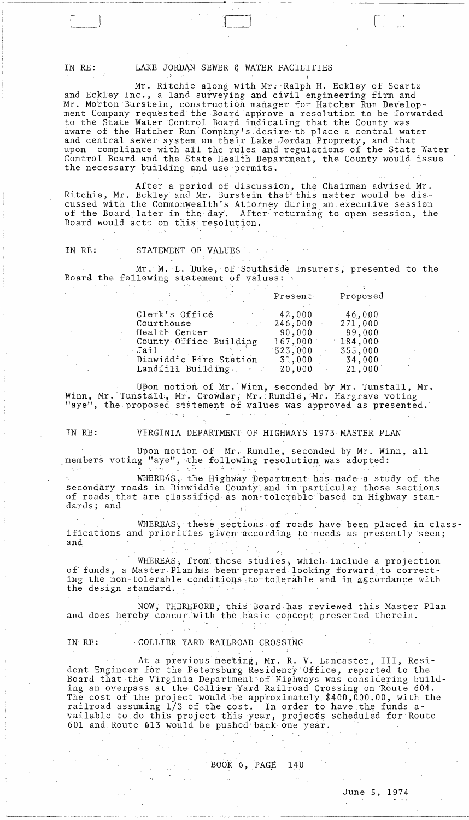IN RE: LAKE JORDAN SEWER & WATER FACILITIES

Mr. Ritchie along with Mr. Ralph H. Eckley of Scartz and Eckley Inc., a land surveying and civil engineering firm and Mr. Morton Burstein, construction manager for Hatcher Run Development Company requested the Board approve a resolution to be forwarded to the State Water Control Board indicating that the County was aware of the Hatcher Run 'Company's ,desire to place a central water and central sewer system on their Lake Jordan Proprety, and that upon compliance with all the ru1es and regulations of the State Water Control Board and the State Health Department, the County would issue the necessary building and use permits.

\_\_\_\_ ---WJII''\_---"-'-\_\_\_\_\_\_\_\_\_\_\_ ~~ \_\_\_\_\_\_\_\_ \_

I'

After a period of discussion, the Chairman advised Mr. Ritchie, Mr, Eckley and Mr. Burstein that this matter would be discussed with the Commonwealth's Attorney during an· executive session of the Board later in the day. After returning to open session, the Board would acto on this resolutioh.

IN RE: STATEMENT OF VALUES

Mr. M. L. Duke, of Southside Insurers, presented to the Board the following statement of values:

|                                     | Present | Proposed |
|-------------------------------------|---------|----------|
| Clerk's Office<br>$\sim 80\pm 0.01$ | 42,000  | 46,000   |
| Courthouse<br>医血管 经营                | 246,000 | 271,000  |
| Health Center                       | 90,000  | 99,000   |
| County Office Building              | 167,000 | 184,000  |
| Jail                                | 323,000 | 355,000  |
| Dinwiddie Fire Station              | 31,000  | 34,000   |
| Landfill Building.                  | 20,000  | 21,000   |

Upon motion of Mr. Winn, seconded by Mr. Tunstall, Mr. Winn, Mr. Tunstall, Mr. Crowder, Mr. Rundle, Mr. Hargrave voting "aye", the proposed statement of values was approved as presented.

IN RE: VIRGINIA DEPARTMENT OF HIGHWAYS 1973 MASTER PLAN

Upon motion of Mr. Rundle, seconded by Mr. Winn, all members voting "aye", the following resolution was adopted:

WHEREAS, the Highway Department has made a study of the secondary roads in Dinwiddie County and in particular those sections of roads that are classified as non-tolerable based on Highway standards; and

WHEREAS, these sections of roads have been placed in classifications and priorities given according to needs as presently seen; and' .. "-

WHEREAS, from these studies, which include a projection of funds, a Master Plan has been prepared looking forward to correcting the non-tolerable conditions to tolerable and in agcordance with the design standard.

NOW, THEREFORE, this Board has reviewed this Master Plan and does hereby concur with the basic concept presented therein.

IN RE: . . . . . COLLIER YARD RAILROAD CROSSING

At a previous meeting, Mr. R. V. Lancaster, III, Resident Engineer for the Petersburg Residency Office, reported to the Board that the Virginia Department'of Highways was considering building an overpass at the Collier Yard Railroad Crossing on 'Route 604. The cost of the project would be approximately  $$400,000.00$ , with the railroad assuming  $1/3$  of the cost. In order to have the funds available to do this project this year, projectis stheduled for Route 601 and Route 613  $woudd$  be pushed back one year.

# $BOOK 6, PAGE 140$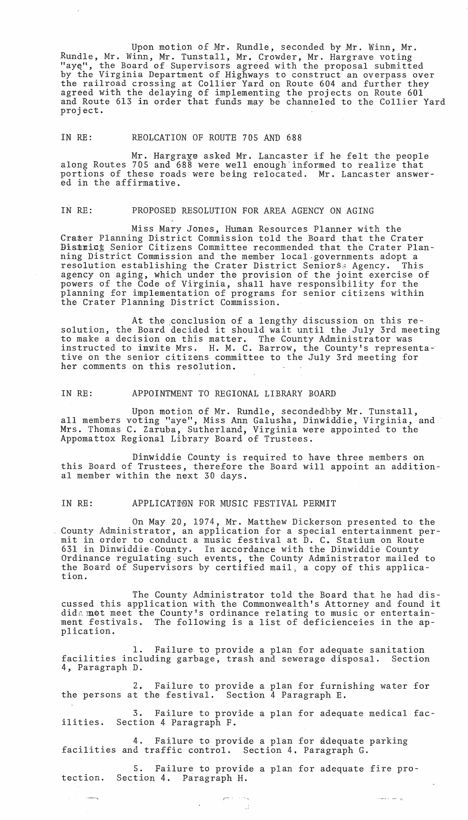Upon motion of Mr. Rundle, seconded by Mr. Winn, Mr. Rundle, Mr. Winn, Mr. Tunstall, Mr, Crowder, Mr. Hargrave voting "aye", the Board of Supervisors agreed with the proposal submitted by the Virginia Department of Highways to construct an overpass over the railroad crossing at Collier Yard on Route 604 and further they agreed with the delaying of implementing the projects on Route 601 and Route 613 in order that funds may be channeled to the Collier Yard project.

# IN RE: REOLCATION OF ROUTE 705 AND 688

Mr. Hargraye asked Mr. Lancaster if he felt the people along Routes 705 and 688 were well enough'informed to realize that portions of these roads were being relocated. Mr. Lancaster answered in the affirmative.

### IN RE: PROPOSED RESOLUTION FOR AREA AGENCY ON AGING

Miss Mary Jones, Human Resources Planner with the Crater Planning District Commission told the Board that the Crater Bistnict Senior Citizens Committee recommended that the Crater Planning District Commission and the member local governments adopt a resolution establishing the Crater District Seniors3 Agency. This agency on aging, which under the provision of the joint exercise of powers of the Code of Virginia, shall have responsibility for the planning for implementation of programs for senior citizens within the Crater Planning District Commission.

At the ;conclusion of a lengthy discussion on this resolution, the Board decided it should wait until the July 3rd meeting to make a decision on this matter. The Gounty Administrator was instructed to inwite Mrs. H. M. C. Barrow, the County's representative on the senior citizens committee to the July 3rd meeting for her comments on this resolution.

### IN RE: APPOINTMENT TO REGIONAL LIBRARY BOARD

Upon motion of Mr. Rundle, secondedbby Mr. Tunstall, all members voting "aye", Miss Ann Galusha, Dinwiddie, Virginia, and Mrs. Thomas C. Zaruba, Sutherland, Virginia were appointed to the Appomattox Regional Library Board of Trustees.

Dinwiddie County is required to have three members on this Board of Trustees, therefore the Board will appoint an additional member within the next 30 days.

#### IN RE: APPLICATION FOR MUSIC FESTIVAL PERMIT

On May 20, 1974, Mr. Matthew Dickerson presented to the County Administrator, an application for a special entertainment permit in order to conduct a music festival at D. C. Statium on Route 631 in Dinwiddie·County. In accordance with the Dinwiddie County Ordinance regulating-such events, the County Administrator mailed to the Board of Supervisors by certified mail, a copy of this application.

The County Administrator told the Board that he had discussed this application with the Commonwealth's Attorney and found it dide mot meet the County's ordinance relating to music or entertaindid that mot meet the county s ordinance relating to music or entertain-<br>ment festivals. The following is a list of deficienceies in the application.

1. Failure to provide a plan for adequate sanitation facilities including garbage, trash and sewerage disposal. Section 4, Paragraph D.

2. Failure to provide a plan for furnishing water for the persons at the festival. Section 4 Paragraph E.

3. Failure to provide a plan for adequate medical facilities. Section 4 Paragraph F.

4. Failure to provide a plan for ddequate parking facilities and traffic control. Section 4. Paragraph G.

5. Failure to provide a plan for adequate fire protection. Section 4. Paragraph H.

 $\sim$  and  $\sim$  1000  $\mu$  .

**Contract Common**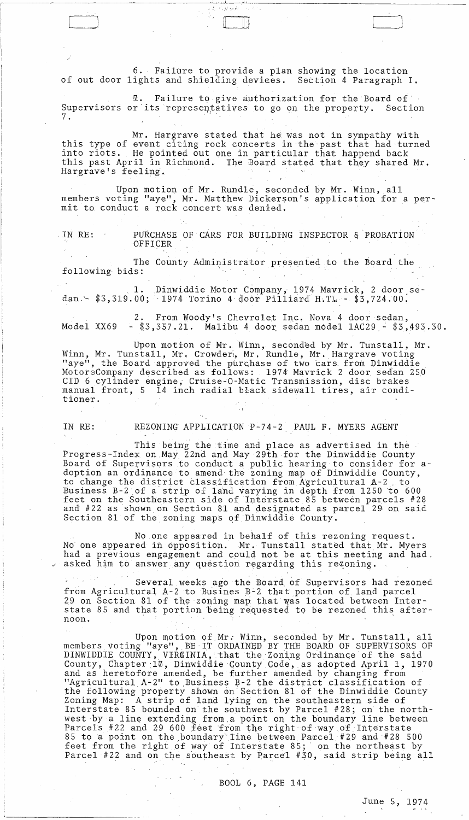6. Failure to provide a plan showing the location of out door lights and shielding devises. Section 4 Paragraph I.

. ) and ( ) and ( ) and ( ) and ( ) and ( ) and ( ) and ( ) and ( ) and ( ) and ( ) and ( ) and ( ) and ( ) and ( ) and ( ) and ( ) and ( ) and ( ) and ( ) and ( ) and ( ) and ( ) and ( ) and ( ) and ( ) and ( ) and ( ) a

 $\begin{pmatrix} \phantom{-} \end{pmatrix}$ 

 $\not\!\!u$ . Failure to give authorization for the Board of Supervisors or its representatives to go on the property. Section 7.

Mr. Hargrave stated that he was not in sympathy with this type of event citing rock concerts in the past that had turned into riots. He pointed out one in particular that happend back this past April in Richmond. The Board stated that they shared Mr. Hargrave's feeling.

Upon motion of Mr. Rundle, seconded by Mr. Winn, all members voting "aye", Mr. Matthew Dickerson's application for a permit to conduct a rock concert was denied.

,IN RE: PURCHASE OF CARS FOR BUILDING INSPECTOR & PROBATION OFFICER

The County Administrator presented to the Board the following bids:

1. Dinwiddie Motor Company, 1974 Mavrick, 2 door sedan.-  $$3,319.00;$  1974 Torino 4 door Pilliard H.TL -  $$3,724.00.$ 

2. From Woody's Chevrolet Inc. Nova 4 door sedan, Model XX69 -  $$3,357.21$ . Malibu 4 door sedan model  $1AC29$  -  $$3,493.30$ .

Upon motion of Mr. Winn, seconded by Mr. Tunstall, Mr. Winn, Mr. Tunstall, Mr. Crowdert, Mr. Rundle, Mr. Hargrave voting "aye", the Board approved the purchase of two cars from Dinwiddie MotoreCompany described as follows: 1974 Mavrick 2 door sedan 250 CID 6 cylinder engine; Cruise-O-Matic Transmission, disc brakes manual front, 5 14 inch radial black sidewall tires, air conditioner.

 $\ddot{\phantom{1}}$ 

IN RE: REZONING APPLICATION P-74-2 PAUL F. MYERS AGENT

This being the time and place as advertised in the Progress-Index on May 22nd and May 29th for the Dinwiddie County Board of Supervisors to conduct a public hearing to consider for adoption an ordinance to amend the zoning map of Dinwiddie County, to change the district classification from Agricultural A-2 , to Business B-2 of a'strip of land varying in depth from 1250 to 600 feet on the Southeastern side of Interstate 85 between parcels #28 and #22 as shown on Section 81 and designated as parcel 29, on said Section 81 of the zoning maps of Dinwiddie County.

No one appeared in behalf of this rezoning request. No one appeared in opposition. Mr. Tunstall stated that Mr. Myers had a previous engagement and could not be at this meeting and had, asked him to answer any question regarding this rezoning.

Several weeks ago the Board of Supervisors had rezoned from Agricultural A-2 to Busines B-2 that portion of land parcel 29 on Section 81 of the zoning map that was located between Interstate 85 and that portion being requested to be rezoned this afternoon.

Upon motion of Mr. Winn, seconded by Mr. Tunstall, all members voting "aye", BE IT ORDAINED BY THE BOARD OF SUPERVISORS OF DINWIDDIE COUNTY, VIRGINIA, that the Zoning Ordinance of the said County, Chapter 1%, Dinwiddie County Code, as adopted April 1, 1970 and as heretofore amended, be further amended by changing from "Agricultural  $A-2$ " to Business  $B-2$  the district classification of the following property shown on Section 81 of the Dinwiddie County Zoning Map: A strip of land lying on the southeastern side of Interstate 85 bounded on the southwest by Parcel #28; on the northwest by a line extending from a point on the boundary line between parcels #22 and 29 600 feet from the right of way of Interstate 85 to a point on the boundary line between Parcel #29 and #28 500 feet from the right of way of Interstate 85; on the northeast by parcel #22 and on the southeast by Parcel #30, said strip being all

BOOL 6, PAGE 141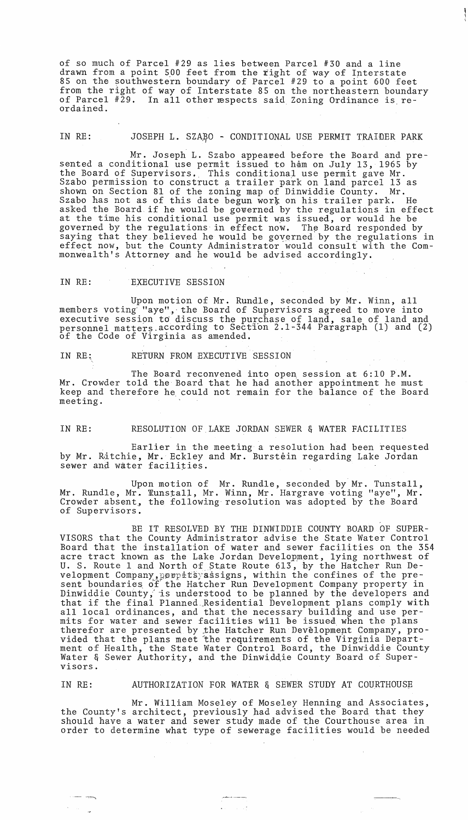of so much of Parcel #29 as lies between Parcel #30 and a line drawn from a point 500 feet from the right of way of Interstate 85 on the southwestern boundary of Parcel #29 to a point 600 feet from the right of way of Interstate 85 on the northeastern boundary of Parcel #29. In all other respects said Zoning Ordinance is reordained.

# IN RE: JOSEPH L. SZAŖO - CONDITIONAL USE PERMIT TRAIDER PARK

Mr. Joseph L. Szabo appeared before the Board and presented a conditional use permit issued to ham on July 13, 1965 by the Board of Supervisors. This conditional use permit gave Mr. sing bourd of supervisors. This conditional use permit gave mi.<br>Szabo permission to construct a trailer park on land parcel 13 as shown on Section 81 of the zoning map of Dinwiddie County. Mr. Szabo has not as of this date begun work on his trailer park. He baabo has not as of this date begun work on his traffer park. He asked the Board if he would be governed by the regulations in effect at the time his conditional use permit was issued, or would he be governed by the regulations in effect now. The Board responded by saying that they believed he would be governed by the regulations in effect now, but the County Administrator would consult with the Commonwealth's Attorney and he would be advised accordingly.

## IN RE: EXECUTIVE SESSION

 $- -$ 

 $\sim 10^{-1}$ 

Upon motion of Mr. Rundle, seconded by Mr. Winn, all members voting "aye", the Board of Supervisors agreed to move into executive session to discuss the purchase of land, sale of land and personnel matters according to Section 2.1-344 Paragraph (1) and (2) of the Code of Virginia as amended.

# IN RE: RETURN FROM EXECUTIVE SESSION

The Board reconvened into open session at 6:10 P.M. Mr. Crowder told the Board that he had another appointment he must keep and therefore he could not remain for the balance of the Board meeting.

# IN RE: RESOLUTION OF,LAKE JORDAN SEWER & WATER FACILITIES

Earlier in the meeting a resolution had been requested by Mr. Ritchie, Mr. Eckley and Mr. Burstein regarding Lake Jordan sewer and water facilities.

Upon motion of Mr. Rundle, seconded by Mr. Tunstall, Mr. Rundle, Mr. Tunstall, Mr. Winn, Mr. Hargrave voting "aye", Mr. Crowder absent, the following resolution was adopted by the Board of Supervisors.

BE IT R£SOLVED BY THE DINWIDDIE COUNTY BOARD OF SUPER-VISORS that the County Administrator advise the State Water Control Board that the installation of water and sewer facilities on the 354 acre tract known as the Lake Jordan Development, lying northwest of U. S. Route 1 and North of State Route 613, by the Hatcher Run Development Company, porpetsyassigns, within the confines of the present boundaries of the Hatcher Run Development Company property in Dinwiddie County, is understood to be planned by the developers and that if the final Planned.Residential Development plans comply with all local ordinances, and that the necessary building and use perair rocal cruinances, and that the necessary barraing and ase per therefor are presented by the Hatcher Run Development Company, provided that the plans meet the requirements of the Virginia Department of Health, the State Water Control Board, the Dinwiddie County Water & Sewer Authority, and the Dinwiddie County Board of Supervisors.

# IN RE: AUTHORIZATION FOR WATER & SEWER STUDY AT COURTHOUSE

Mr. William Moseley of Moseley Henning and Associates, the County's architect, previously had advised the Board that they should have a water and sewer study made of the Courthouse area in order to determine what type of sewerage facilities would be needed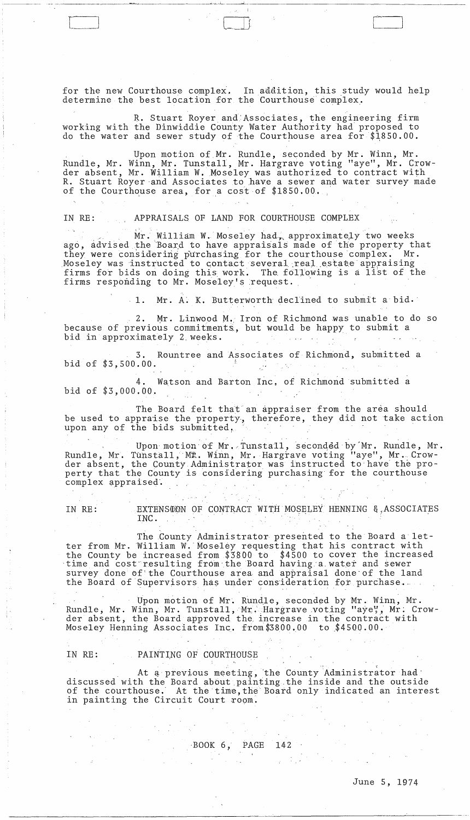for the new Courthouse complex. In addition, this study would help determine the best location for the Courthouse complex.

. .

R. Stuart Royer and;Associates, the engineering firm working with the Dinwiddie County Water Authority had proposed to do the water and sewer study of the Courthouse area for  $$1850.00$ .

Upon motion of Mr. Rundle, seconded by Mr. Winn, Mr. Rundle, Mr. Winn, Mr. Tunstall, Mr. Hargrave voting "aye", Mr. Crowder absent, Mr. William W. Moseley was authorized to contract with R. Stuart Royer and Associates to have a sewer and water survey made of the Courthouse area, for a cost of  $$1850.00$ .

## IN RE: APPRAISALS OF LAND FOR COURTHOUSE COMPLEX

Mr. William W. Moseley had, approximately two weeks ago, advised the Board to have appraisals made of the property that they were considering purchasing for the courthouse complex. Mr. Moseley was instructed to contact several real estate appraising firms for bids on doing this work. The following is a list of the firms responding to Mr. Moseley's request.

1. Mr. A: K. Butterworth declined to submit a bid.

2. Mr. Linwood M., Iron of Richmond was unable to do so because of previous commitments:, but would be happy to submit a bid in approximately 2 weeks.

3. Rountree and Associates of Richmond, submitted a bid of \$3,500.00.

Watson and Barton Inc, of Richmond submitted a bid of \$3,000.00.

The Board felt that an appraiser from the area should be used to appraise the property, therefore, they did not take action upon any of the bids submitted,

Upon motion of Mr. Tunstall, seconded by Mr. Rundle, Mr. Rundle, Mr. Tunstall, MR. Winn, Mr. Hargrave voting "aye", Mr. Crowder absent, the County. Administrator was instructed to'have' the property that the County is considering purchasing for the courthouse complex appraised'.

IN RE: EXTENSTON OF CONTRACT WITH MOSELEY HENNING & ASSOCIATES INC.

The County Administrator presented to the Board a letter from Mr. 'William W.' Moseley requesting that his contract with the County be increased from \$3800 to \$4500 to cover the increased time and cost resulting from the Board having a water and sewer survey done of'the Courthouse area and appraisal done'of the land the Board of Supervisors has under consideration for purchase.

Upon motion of Mr. Rundle, seconded by Mr. Winn, Mr. Rundle, Mr. Winn, Mr. Tunstall, Mr. Hargrave voting "aye", Mr. Crowder absent, the Board approved the increase in the contract with Moseley Henning Associates Inc. from  $$3800.00$  to  $$4500.00$ .

# IN RE: PAINTING OF COURTHOUSE

At a previous meeting, the County Administrator had discussed with the Board about painting the inside and the outside arseassed with the Board assac partiting the inside and the satisfact in painting the Circuit Court room.

BOOK 6, PAGE 142